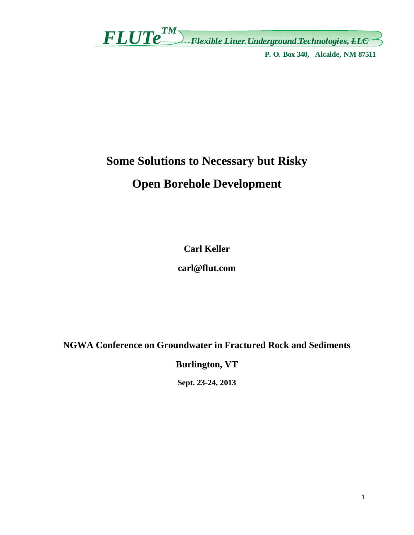*FLUTeTM Flexible Liner Underground Technologies, LLC*

**P. O. Box 340, Alcalde, NM 87511**

# **Some Solutions to Necessary but Risky**

# **Open Borehole Development**

**Carl Keller** 

**carl@flut.com** 

**NGWA Conference on Groundwater in Fractured Rock and Sediments** 

**Burlington, VT** 

**Sept. 23-24, 2013**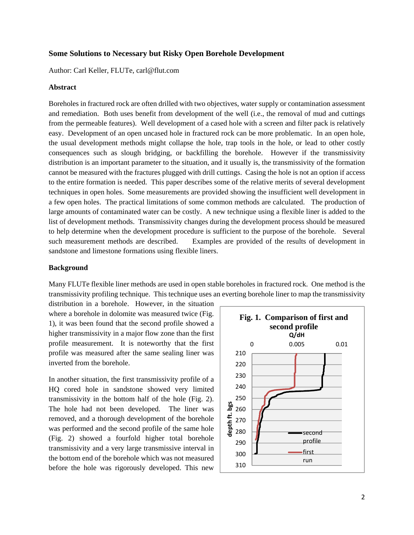### **Some Solutions to Necessary but Risky Open Borehole Development**

Author: Carl Keller, FLUTe, carl@flut.com

#### **Abstract**

Boreholes in fractured rock are often drilled with two objectives, water supply or contamination assessment and remediation. Both uses benefit from development of the well (i.e., the removal of mud and cuttings from the permeable features). Well development of a cased hole with a screen and filter pack is relatively easy. Development of an open uncased hole in fractured rock can be more problematic. In an open hole, the usual development methods might collapse the hole, trap tools in the hole, or lead to other costly consequences such as slough bridging, or backfilling the borehole. However if the transmissivity distribution is an important parameter to the situation, and it usually is, the transmissivity of the formation cannot be measured with the fractures plugged with drill cuttings. Casing the hole is not an option if access to the entire formation is needed. This paper describes some of the relative merits of several development techniques in open holes. Some measurements are provided showing the insufficient well development in a few open holes. The practical limitations of some common methods are calculated. The production of large amounts of contaminated water can be costly. A new technique using a flexible liner is added to the list of development methods. Transmissivity changes during the development process should be measured to help determine when the development procedure is sufficient to the purpose of the borehole. Several such measurement methods are described. Examples are provided of the results of development in sandstone and limestone formations using flexible liners.

#### **Background**

Many FLUTe flexible liner methods are used in open stable boreholes in fractured rock. One method is the transmissivity profiling technique. This technique uses an everting borehole liner to map the transmissivity

distribution in a borehole. However, in the situation where a borehole in dolomite was measured twice (Fig. 1), it was been found that the second profile showed a higher transmissivity in a major flow zone than the first profile measurement. It is noteworthy that the first profile was measured after the same sealing liner was inverted from the borehole.

In another situation, the first transmissivity profile of a HQ cored hole in sandstone showed very limited transmissivity in the bottom half of the hole (Fig. 2). The hole had not been developed. The liner was removed, and a thorough development of the borehole was performed and the second profile of the same hole (Fig. 2) showed a fourfold higher total borehole transmissivity and a very large transmissive interval in the bottom end of the borehole which was not measured before the hole was rigorously developed. This new

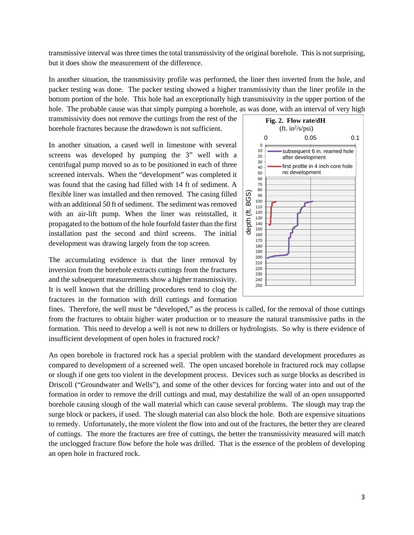transmissive interval was three times the total transmissivity of the original borehole. This is not surprising, but it does show the measurement of the difference.

In another situation, the transmissivity profile was performed, the liner then inverted from the hole, and packer testing was done. The packer testing showed a higher transmissivity than the liner profile in the bottom portion of the hole. This hole had an exceptionally high transmissivity in the upper portion of the hole. The probable cause was that simply pumping a borehole, as was done, with an interval of very high

transmissivity does not remove the cuttings from the rest of the borehole fractures because the drawdown is not sufficient.

In another situation, a cased well in limestone with several screens was developed by pumping the 3" well with a centrifugal pump moved so as to be positioned in each of three screened intervals. When the "development" was completed it was found that the casing had filled with 14 ft of sediment. A flexible liner was installed and then removed. The casing filled with an additional 50 ft of sediment. The sediment was removed with an air-lift pump. When the liner was reinstalled, it propagated to the bottom of the hole fourfold faster than the first installation past the second and third screens. The initial development was drawing largely from the top screen.

The accumulating evidence is that the liner removal by inversion from the borehole extracts cuttings from the fractures and the subsequent measurements show a higher transmissivity. It is well known that the drilling procedures tend to clog the fractures in the formation with drill cuttings and formation



fines. Therefore, the well must be "developed," as the process is called, for the removal of those cuttings from the fractures to obtain higher water production or to measure the natural transmissive paths in the formation. This need to develop a well is not new to drillers or hydrologists. So why is there evidence of insufficient development of open holes in fractured rock?

An open borehole in fractured rock has a special problem with the standard development procedures as compared to development of a screened well. The open uncased borehole in fractured rock may collapse or slough if one gets too violent in the development process. Devices such as surge blocks as described in Driscoll ("Groundwater and Wells"), and some of the other devices for forcing water into and out of the formation in order to remove the drill cuttings and mud, may destabilize the wall of an open unsupported borehole causing slough of the wall material which can cause several problems. The slough may trap the surge block or packers, if used. The slough material can also block the hole. Both are expensive situations to remedy. Unfortunately, the more violent the flow into and out of the fractures, the better they are cleared of cuttings. The more the fractures are free of cuttings, the better the transmissivity measured will match the unclogged fracture flow before the hole was drilled. That is the essence of the problem of developing an open hole in fractured rock.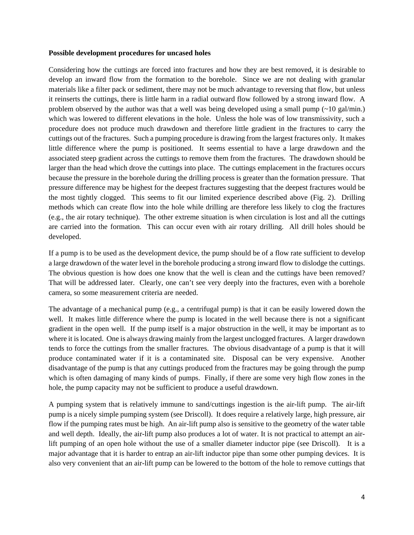#### **Possible development procedures for uncased holes**

Considering how the cuttings are forced into fractures and how they are best removed, it is desirable to develop an inward flow from the formation to the borehole. Since we are not dealing with granular materials like a filter pack or sediment, there may not be much advantage to reversing that flow, but unless it reinserts the cuttings, there is little harm in a radial outward flow followed by a strong inward flow. A problem observed by the author was that a well was being developed using a small pump  $\left(\sim 10 \text{ gal/min.}\right)$ which was lowered to different elevations in the hole. Unless the hole was of low transmissivity, such a procedure does not produce much drawdown and therefore little gradient in the fractures to carry the cuttings out of the fractures. Such a pumping procedure is drawing from the largest fractures only. It makes little difference where the pump is positioned. It seems essential to have a large drawdown and the associated steep gradient across the cuttings to remove them from the fractures. The drawdown should be larger than the head which drove the cuttings into place. The cuttings emplacement in the fractures occurs because the pressure in the borehole during the drilling process is greater than the formation pressure. That pressure difference may be highest for the deepest fractures suggesting that the deepest fractures would be the most tightly clogged. This seems to fit our limited experience described above (Fig. 2). Drilling methods which can create flow into the hole while drilling are therefore less likely to clog the fractures (e.g., the air rotary technique). The other extreme situation is when circulation is lost and all the cuttings are carried into the formation. This can occur even with air rotary drilling. All drill holes should be developed.

If a pump is to be used as the development device, the pump should be of a flow rate sufficient to develop a large drawdown of the water level in the borehole producing a strong inward flow to dislodge the cuttings. The obvious question is how does one know that the well is clean and the cuttings have been removed? That will be addressed later. Clearly, one can't see very deeply into the fractures, even with a borehole camera, so some measurement criteria are needed.

The advantage of a mechanical pump (e.g., a centrifugal pump) is that it can be easily lowered down the well. It makes little difference where the pump is located in the well because there is not a significant gradient in the open well. If the pump itself is a major obstruction in the well, it may be important as to where it is located. One is always drawing mainly from the largest unclogged fractures. A larger drawdown tends to force the cuttings from the smaller fractures. The obvious disadvantage of a pump is that it will produce contaminated water if it is a contaminated site. Disposal can be very expensive. Another disadvantage of the pump is that any cuttings produced from the fractures may be going through the pump which is often damaging of many kinds of pumps. Finally, if there are some very high flow zones in the hole, the pump capacity may not be sufficient to produce a useful drawdown.

A pumping system that is relatively immune to sand/cuttings ingestion is the air-lift pump. The air-lift pump is a nicely simple pumping system (see Driscoll). It does require a relatively large, high pressure, air flow if the pumping rates must be high. An air-lift pump also is sensitive to the geometry of the water table and well depth. Ideally, the air-lift pump also produces a lot of water. It is not practical to attempt an airlift pumping of an open hole without the use of a smaller diameter inductor pipe (see Driscoll). It is a major advantage that it is harder to entrap an air-lift inductor pipe than some other pumping devices. It is also very convenient that an air-lift pump can be lowered to the bottom of the hole to remove cuttings that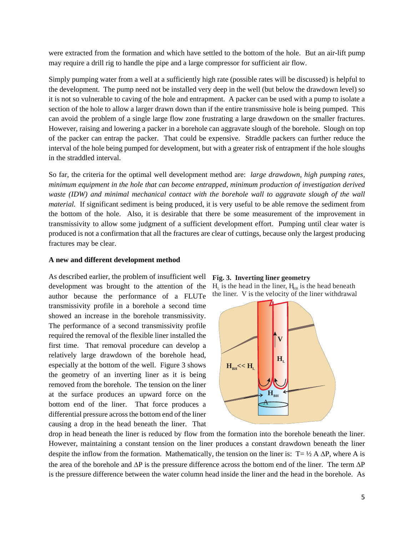were extracted from the formation and which have settled to the bottom of the hole. But an air-lift pump may require a drill rig to handle the pipe and a large compressor for sufficient air flow.

Simply pumping water from a well at a sufficiently high rate (possible rates will be discussed) is helpful to the development. The pump need not be installed very deep in the well (but below the drawdown level) so it is not so vulnerable to caving of the hole and entrapment. A packer can be used with a pump to isolate a section of the hole to allow a larger drawn down than if the entire transmissive hole is being pumped. This can avoid the problem of a single large flow zone frustrating a large drawdown on the smaller fractures. However, raising and lowering a packer in a borehole can aggravate slough of the borehole. Slough on top of the packer can entrap the packer. That could be expensive. Straddle packers can further reduce the interval of the hole being pumped for development, but with a greater risk of entrapment if the hole sloughs in the straddled interval.

So far, the criteria for the optimal well development method are: *large drawdown, high pumping rates, minimum equipment in the hole that can become entrapped, minimum production of investigation derived waste (IDW) and minimal mechanical contact with the borehole wall to aggravate slough of the wall material.* If significant sediment is being produced, it is very useful to be able remove the sediment from the bottom of the hole. Also, it is desirable that there be some measurement of the improvement in transmissivity to allow some judgment of a sufficient development effort. Pumping until clear water is produced is not a confirmation that all the fractures are clear of cuttings, because only the largest producing fractures may be clear.

#### **A new and different development method**

As described earlier, the problem of insufficient well development was brought to the attention of the author because the performance of a FLUTe transmissivity profile in a borehole a second time showed an increase in the borehole transmissivity. The performance of a second transmissivity profile required the removal of the flexible liner installed the first time. That removal procedure can develop a relatively large drawdown of the borehole head, especially at the bottom of the well. Figure 3 shows the geometry of an inverting liner as it is being removed from the borehole. The tension on the liner at the surface produces an upward force on the bottom end of the liner. That force produces a differential pressure across the bottom end of the liner causing a drop in the head beneath the liner. That





drop in head beneath the liner is reduced by flow from the formation into the borehole beneath the liner. However, maintaining a constant tension on the liner produces a constant drawdown beneath the liner despite the inflow from the formation. Mathematically, the tension on the liner is:  $T = \frac{1}{2} A \Delta P$ , where A is the area of the borehole and  $\Delta P$  is the pressure difference across the bottom end of the liner. The term  $\Delta P$ is the pressure difference between the water column head inside the liner and the head in the borehole. As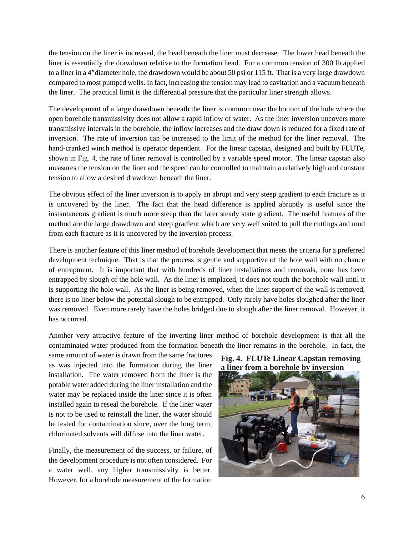the tension on the liner is increased, the head beneath the liner must decrease. The lower head beneath the liner is essentially the drawdown relative to the formation head. For a common tension of 300 lb applied to a liner in a 4"diameter hole, the drawdown would be about 50 psi or 115 ft. That is a very large drawdown compared to most pumped wells. In fact, increasing the tension may lead to cavitation and a vacuum beneath the liner. The practical limit is the differential pressure that the particular liner strength allows.

The development of a large drawdown beneath the liner is common near the bottom of the hole where the open borehole transmissivity does not allow a rapid inflow of water. As the liner inversion uncovers more transmissive intervals in the borehole, the inflow increases and the draw down is reduced for a fixed rate of inversion. The rate of inversion can be increased to the limit of the method for the liner removal. The hand-cranked winch method is operator dependent. For the linear capstan, designed and built by FLUTe, shown in Fig. 4, the rate of liner removal is controlled by a variable speed motor. The linear capstan also measures the tension on the liner and the speed can be controlled to maintain a relatively high and constant tension to allow a desired drawdown beneath the liner.

The obvious effect of the liner inversion is to apply an abrupt and very steep gradient to each fracture as it is uncovered by the liner. The fact that the head difference is applied abruptly is useful since the instantaneous gradient is much more steep than the later steady state gradient. The useful features of the method are the large drawdown and steep gradient which are very well suited to pull the cuttings and mud from each fracture as it is uncovered by the inversion process.

There is another feature of this liner method of borehole development that meets the criteria for a preferred development technique. That is that the process is gentle and supportive of the hole wall with no chance of entrapment. It is important that with hundreds of liner installations and removals, none has been entrapped by slough of the hole wall. As the liner is emplaced, it does not touch the borehole wall until it is supporting the hole wall. As the liner is being removed, when the liner support of the wall is removed, there is no liner below the potential slough to be entrapped. Only rarely have holes sloughed after the liner was removed. Even more rarely have the holes bridged due to slough after the liner removal. However, it has occurred.

Another very attractive feature of the inverting liner method of borehole development is that all the contaminated water produced from the formation beneath the liner remains in the borehole. In fact, the

same amount of water is drawn from the same fractures as was injected into the formation during the liner installation. The water removed from the liner is the potable water added during the liner installation and the water may be replaced inside the liner since it is often installed again to reseal the borehole. If the liner water is not to be used to reinstall the liner, the water should be tested for contamination since, over the long term, chlorinated solvents will diffuse into the liner water.

Finally, the measurement of the success, or failure, of the development procedure is not often considered. For a water well, any higher transmissivity is better. However, for a borehole measurement of the formation



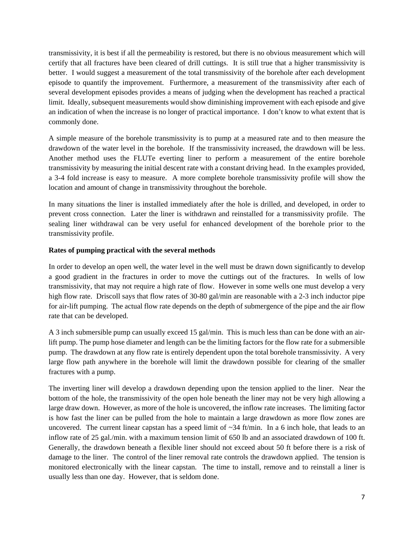transmissivity, it is best if all the permeability is restored, but there is no obvious measurement which will certify that all fractures have been cleared of drill cuttings. It is still true that a higher transmissivity is better. I would suggest a measurement of the total transmissivity of the borehole after each development episode to quantify the improvement. Furthermore, a measurement of the transmissivity after each of several development episodes provides a means of judging when the development has reached a practical limit. Ideally, subsequent measurements would show diminishing improvement with each episode and give an indication of when the increase is no longer of practical importance. I don't know to what extent that is commonly done.

A simple measure of the borehole transmissivity is to pump at a measured rate and to then measure the drawdown of the water level in the borehole. If the transmissivity increased, the drawdown will be less. Another method uses the FLUTe everting liner to perform a measurement of the entire borehole transmissivity by measuring the initial descent rate with a constant driving head. In the examples provided, a 3-4 fold increase is easy to measure. A more complete borehole transmissivity profile will show the location and amount of change in transmissivity throughout the borehole.

In many situations the liner is installed immediately after the hole is drilled, and developed, in order to prevent cross connection. Later the liner is withdrawn and reinstalled for a transmissivity profile. The sealing liner withdrawal can be very useful for enhanced development of the borehole prior to the transmissivity profile.

# **Rates of pumping practical with the several methods**

In order to develop an open well, the water level in the well must be drawn down significantly to develop a good gradient in the fractures in order to move the cuttings out of the fractures. In wells of low transmissivity, that may not require a high rate of flow. However in some wells one must develop a very high flow rate. Driscoll says that flow rates of 30-80 gal/min are reasonable with a 2-3 inch inductor pipe for air-lift pumping. The actual flow rate depends on the depth of submergence of the pipe and the air flow rate that can be developed.

A 3 inch submersible pump can usually exceed 15 gal/min. This is much less than can be done with an airlift pump. The pump hose diameter and length can be the limiting factors for the flow rate for a submersible pump. The drawdown at any flow rate is entirely dependent upon the total borehole transmissivity. A very large flow path anywhere in the borehole will limit the drawdown possible for clearing of the smaller fractures with a pump.

The inverting liner will develop a drawdown depending upon the tension applied to the liner. Near the bottom of the hole, the transmissivity of the open hole beneath the liner may not be very high allowing a large draw down. However, as more of the hole is uncovered, the inflow rate increases. The limiting factor is how fast the liner can be pulled from the hole to maintain a large drawdown as more flow zones are uncovered. The current linear capstan has a speed limit of  $\sim$ 34 ft/min. In a 6 inch hole, that leads to an inflow rate of 25 gal./min. with a maximum tension limit of 650 lb and an associated drawdown of 100 ft. Generally, the drawdown beneath a flexible liner should not exceed about 50 ft before there is a risk of damage to the liner. The control of the liner removal rate controls the drawdown applied. The tension is monitored electronically with the linear capstan. The time to install, remove and to reinstall a liner is usually less than one day. However, that is seldom done.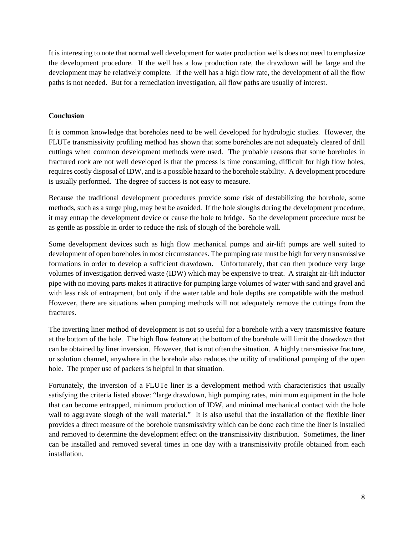It is interesting to note that normal well development for water production wells does not need to emphasize the development procedure. If the well has a low production rate, the drawdown will be large and the development may be relatively complete. If the well has a high flow rate, the development of all the flow paths is not needed. But for a remediation investigation, all flow paths are usually of interest.

# **Conclusion**

It is common knowledge that boreholes need to be well developed for hydrologic studies. However, the FLUTe transmissivity profiling method has shown that some boreholes are not adequately cleared of drill cuttings when common development methods were used. The probable reasons that some boreholes in fractured rock are not well developed is that the process is time consuming, difficult for high flow holes, requires costly disposal of IDW, and is a possible hazard to the borehole stability. A development procedure is usually performed. The degree of success is not easy to measure.

Because the traditional development procedures provide some risk of destabilizing the borehole, some methods, such as a surge plug, may best be avoided. If the hole sloughs during the development procedure, it may entrap the development device or cause the hole to bridge. So the development procedure must be as gentle as possible in order to reduce the risk of slough of the borehole wall.

Some development devices such as high flow mechanical pumps and air-lift pumps are well suited to development of open boreholes in most circumstances. The pumping rate must be high for very transmissive formations in order to develop a sufficient drawdown. Unfortunately, that can then produce very large volumes of investigation derived waste (IDW) which may be expensive to treat. A straight air-lift inductor pipe with no moving parts makes it attractive for pumping large volumes of water with sand and gravel and with less risk of entrapment, but only if the water table and hole depths are compatible with the method. However, there are situations when pumping methods will not adequately remove the cuttings from the fractures.

The inverting liner method of development is not so useful for a borehole with a very transmissive feature at the bottom of the hole. The high flow feature at the bottom of the borehole will limit the drawdown that can be obtained by liner inversion. However, that is not often the situation. A highly transmissive fracture, or solution channel, anywhere in the borehole also reduces the utility of traditional pumping of the open hole. The proper use of packers is helpful in that situation.

Fortunately, the inversion of a FLUTe liner is a development method with characteristics that usually satisfying the criteria listed above: "large drawdown, high pumping rates, minimum equipment in the hole that can become entrapped, minimum production of IDW, and minimal mechanical contact with the hole wall to aggravate slough of the wall material." It is also useful that the installation of the flexible liner provides a direct measure of the borehole transmissivity which can be done each time the liner is installed and removed to determine the development effect on the transmissivity distribution. Sometimes, the liner can be installed and removed several times in one day with a transmissivity profile obtained from each installation.